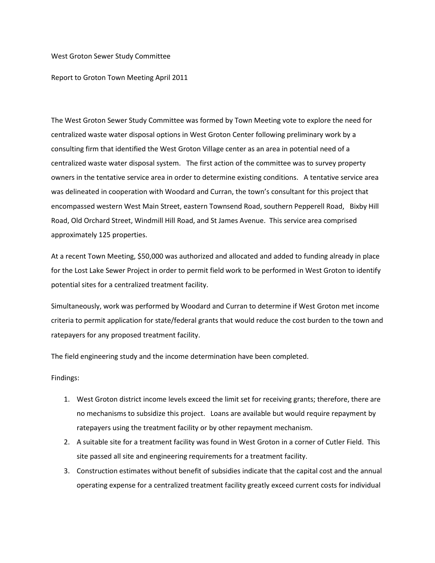## West Groton Sewer Study Committee

Report to Groton Town Meeting April 2011

The West Groton Sewer Study Committee was formed by Town Meeting vote to explore the need for centralized waste water disposal options in West Groton Center following preliminary work by a consulting firm that identified the West Groton Village center as an area in potential need of a centralized waste water disposal system. The first action of the committee was to survey property owners in the tentative service area in order to determine existing conditions. A tentative service area was delineated in cooperation with Woodard and Curran, the town's consultant for this project that encompassed western West Main Street, eastern Townsend Road, southern Pepperell Road, Bixby Hill Road, Old Orchard Street, Windmill Hill Road, and St James Avenue. This service area comprised approximately 125 properties.

At a recent Town Meeting, \$50,000 was authorized and allocated and added to funding already in place for the Lost Lake Sewer Project in order to permit field work to be performed in West Groton to identify potential sites for a centralized treatment facility.

Simultaneously, work was performed by Woodard and Curran to determine if West Groton met income criteria to permit application for state/federal grants that would reduce the cost burden to the town and ratepayers for any proposed treatment facility.

The field engineering study and the income determination have been completed.

Findings:

- 1. West Groton district income levels exceed the limit set for receiving grants; therefore, there are no mechanisms to subsidize this project. Loans are available but would require repayment by ratepayers using the treatment facility or by other repayment mechanism.
- 2. A suitable site for a treatment facility was found in West Groton in a corner of Cutler Field. This site passed all site and engineering requirements for a treatment facility.
- 3. Construction estimates without benefit of subsidies indicate that the capital cost and the annual operating expense for a centralized treatment facility greatly exceed current costs for individual